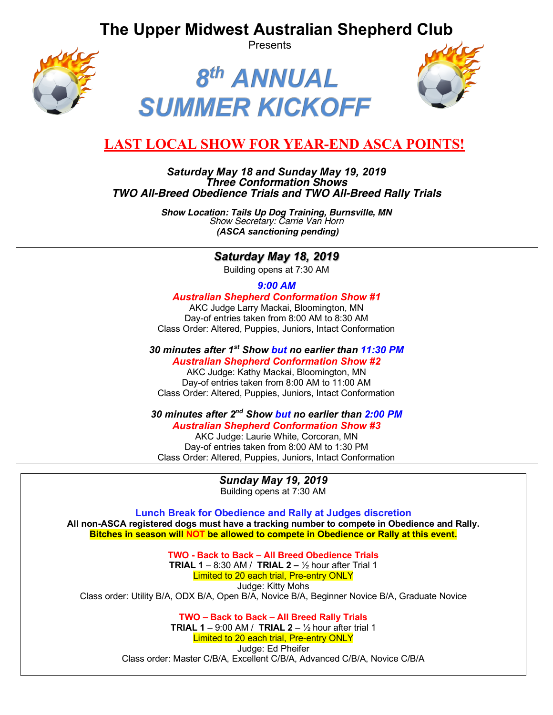**The Upper Midwest Australian Shepherd Club**



Presents





# **LAST LOCAL SHOW FOR YEAR-END ASCA POINTS!**

### *Saturday May 18 and Sunday May 19, 2019 Three Conformation Shows TWO All-Breed Obedience Trials and TWO All-Breed Rally Trials*

*Show Location: Tails Up Dog Training, Burnsville, MN Show Secretary: Carrie Van Horn (ASCA sanctioning pending)*

## *Saturday May 18, 2019*

Building opens at 7:30 AM

### *9:00 AM*

#### *Australian Shepherd Conformation Show #1*

AKC Judge Larry Mackai, Bloomington, MN Day-of entries taken from 8:00 AM to 8:30 AM Class Order: Altered, Puppies, Juniors, Intact Conformation

## *30 minutes after 1st Show but no earlier than 11:30 PM*

*Australian Shepherd Conformation Show #2* AKC Judge: Kathy Mackai, Bloomington, MN Day-of entries taken from 8:00 AM to 11:00 AM Class Order: Altered, Puppies, Juniors, Intact Conformation

## *30 minutes after 2nd Show but no earlier than 2:00 PM*

#### *Australian Shepherd Conformation Show #3*

AKC Judge: Laurie White, Corcoran, MN Day-of entries taken from 8:00 AM to 1:30 PM Class Order: Altered, Puppies, Juniors, Intact Conformation

# *Sunday May 19, 2019*

Building opens at 7:30 AM

**Lunch Break for Obedience and Rally at Judges discretion All non-ASCA registered dogs must have a tracking number to compete in Obedience and Rally. Bitches in season will NOT be allowed to compete in Obedience or Rally at this event.**

**TWO - Back to Back – All Breed Obedience Trials TRIAL 1** – 8:30 AM / **TRIAL 2 –** ½ hour after Trial 1 Limited to 20 each trial, Pre-entry ONLY Judge: Kitty Mohs Class order: Utility B/A, ODX B/A, Open B/A, Novice B/A, Beginner Novice B/A, Graduate Novice

> **TWO – Back to Back – All Breed Rally Trials TRIAL 1** – 9:00 AM / **TRIAL 2** –  $\frac{1}{2}$  hour after trial 1 Limited to 20 each trial, Pre-entry ONLY Judge: Ed Pheifer Class order: Master C/B/A, Excellent C/B/A, Advanced C/B/A, Novice C/B/A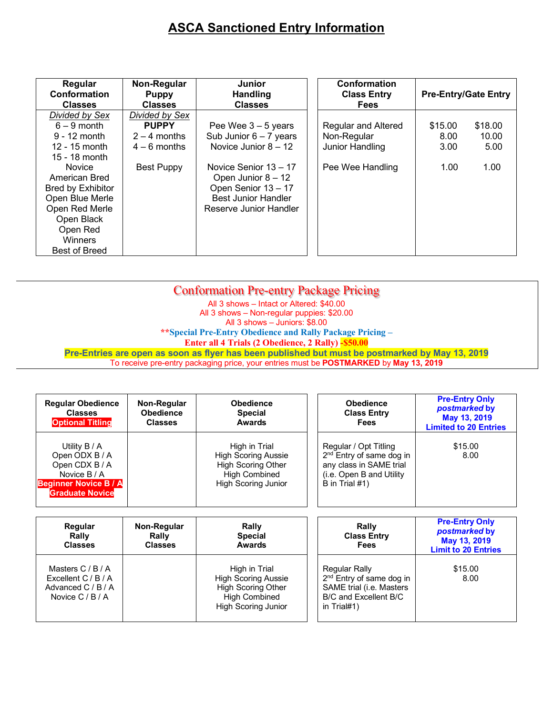# **ASCA Sanctioned Entry Information**

| Regular<br>Conformation<br><b>Classes</b> | Non-Regular<br><b>Puppy</b><br><b>Classes</b> | Junior<br><b>Handling</b><br><b>Classes</b> | <b>Conformation</b><br><b>Class Entry</b><br><b>Fees</b> | <b>Pre-Entry/Gate Entry</b> |         |
|-------------------------------------------|-----------------------------------------------|---------------------------------------------|----------------------------------------------------------|-----------------------------|---------|
| Divided by Sex                            | Divided by Sex                                |                                             |                                                          |                             |         |
| $6 - 9$ month                             | <b>PUPPY</b>                                  | Pee Wee $3 - 5$ years                       | Regular and Altered                                      | \$15.00                     | \$18.00 |
| $9 - 12$ month                            | $2 - 4$ months                                | Sub Junior $6 - 7$ years                    | Non-Regular                                              | 8.00                        | 10.00   |
| 12 - 15 month                             | $4 - 6$ months                                | Novice Junior $8 - 12$                      | Junior Handling                                          | 3.00                        | 5.00    |
| 15 - 18 month                             |                                               |                                             |                                                          |                             |         |
| <b>Novice</b>                             | <b>Best Puppy</b>                             | Novice Senior 13 - 17                       | Pee Wee Handling                                         | 1.00                        | 1.00    |
| American Bred                             |                                               | Open Junior 8 - 12                          |                                                          |                             |         |
| Bred by Exhibitor                         |                                               | Open Senior 13 - 17                         |                                                          |                             |         |
| Open Blue Merle                           |                                               | <b>Best Junior Handler</b>                  |                                                          |                             |         |
| Open Red Merle                            |                                               | Reserve Junior Handler                      |                                                          |                             |         |
| Open Black                                |                                               |                                             |                                                          |                             |         |
| Open Red                                  |                                               |                                             |                                                          |                             |         |
| Winners                                   |                                               |                                             |                                                          |                             |         |
| <b>Best of Breed</b>                      |                                               |                                             |                                                          |                             |         |

| <b>Conformation Pre-entry Package Pricing</b>                                                   |
|-------------------------------------------------------------------------------------------------|
| All 3 shows - Intact or Altered: \$40.00                                                        |
| All 3 shows - Non-regular puppies: \$20.00                                                      |
| All 3 shows - Juniors: \$8.00                                                                   |
| **Special Pre-Entry Obedience and Rally Package Pricing –                                       |
| <b>Enter all 4 Trials (2 Obedience, 2 Rally) -\$50.00</b>                                       |
| Pre-Entries are open as soon as flyer has been published but must be postmarked by May 13, 2019 |
| To receive pre-entry packaging price, your entries must be POSTMARKED by May 13, 2019           |
|                                                                                                 |

| <b>Regular Obedience</b><br><b>Classes</b><br><b>Optional Titling</b>                                                       | Non-Regular<br><b>Obedience</b><br><b>Classes</b> | <b>Obedience</b><br><b>Special</b><br><b>Awards</b>                                                                            | <b>Obedience</b><br><b>Class Entry</b><br>Fees                                                                                            | <b>Pre-Entry Only</b><br>postmarked by<br>May 13, 2019<br><b>Limited to 20 Entries</b> |  |
|-----------------------------------------------------------------------------------------------------------------------------|---------------------------------------------------|--------------------------------------------------------------------------------------------------------------------------------|-------------------------------------------------------------------------------------------------------------------------------------------|----------------------------------------------------------------------------------------|--|
| Utility B / A<br>Open ODX B / A<br>Open CDX B / A<br>Novice B / A<br><b>Beginner Novice B / A</b><br><b>Graduate Novice</b> |                                                   | High in Trial<br><b>High Scoring Aussie</b><br><b>High Scoring Other</b><br><b>High Combined</b><br><b>High Scoring Junior</b> | Regular / Opt Titling<br>2 <sup>nd</sup> Entry of same dog in<br>any class in SAME trial<br>(i.e. Open B and Utility<br>B in Trial $#1$ ) | \$15.00<br>8.00                                                                        |  |
| Regular<br>Rally<br><b>Classes</b>                                                                                          | Non-Regular<br>Rally<br><b>Classes</b>            | <b>Rally</b><br><b>Special</b><br><b>Awards</b>                                                                                | Rally<br><b>Class Entry</b><br><b>Fees</b>                                                                                                | <b>Pre-Entry Only</b><br>postmarked by<br>May 13, 2019<br><b>Limit to 20 Entries</b>   |  |
| Masters C/B/A<br>Excellent $C/B/A$<br>Advanced C / B / A<br>Novice $C/B/A$                                                  |                                                   | High in Trial<br><b>High Scoring Aussie</b><br><b>High Scoring Other</b><br><b>High Combined</b>                               | Regular Rally<br>2 <sup>nd</sup> Entry of same dog in<br>SAME trial (i.e. Masters<br>B/C and Excellent B/C                                | \$15.00<br>8.00                                                                        |  |

High Scoring Junior

in Trial#1)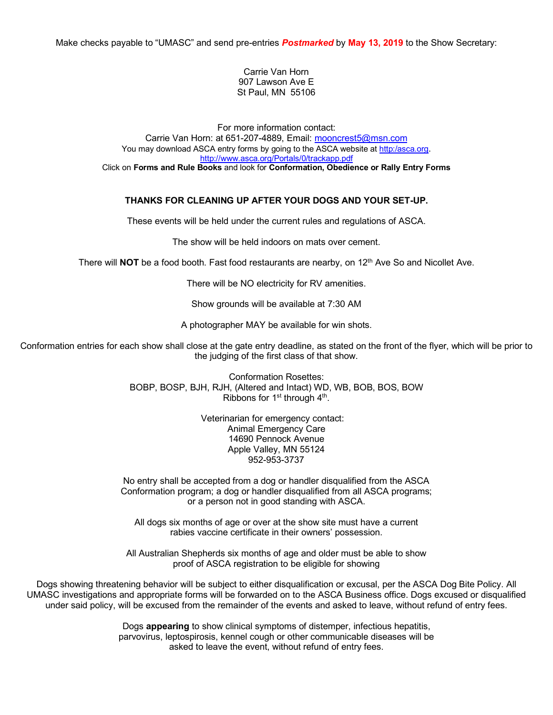Make checks payable to "UMASC" and send pre-entries *Postmarked* by **May 13, 2019** to the Show Secretary:

Carrie Van Horn 907 Lawson Ave E St Paul, MN 55106

For more information contact: Carrie Van Horn: at 651-207-4889, Email: mooncrest5@msn.com You may download ASCA entry forms by going to the ASCA website at http:/asca.org. http://www.asca.org/Portals/0/trackapp.pdf Click on **Forms and Rule Books** and look for **Conformation, Obedience or Rally Entry Forms**

#### **THANKS FOR CLEANING UP AFTER YOUR DOGS AND YOUR SET-UP.**

These events will be held under the current rules and regulations of ASCA.

The show will be held indoors on mats over cement.

There will **NOT** be a food booth. Fast food restaurants are nearby, on 12<sup>th</sup> Ave So and Nicollet Ave.

There will be NO electricity for RV amenities.

Show grounds will be available at 7:30 AM

A photographer MAY be available for win shots.

Conformation entries for each show shall close at the gate entry deadline, as stated on the front of the flyer, which will be prior to the judging of the first class of that show.

> Conformation Rosettes: BOBP, BOSP, BJH, RJH, (Altered and Intact) WD, WB, BOB, BOS, BOW Ribbons for 1<sup>st</sup> through 4<sup>th</sup>.

> > Veterinarian for emergency contact: Animal Emergency Care 14690 Pennock Avenue Apple Valley, MN 55124 952-953-3737

No entry shall be accepted from a dog or handler disqualified from the ASCA Conformation program; a dog or handler disqualified from all ASCA programs; or a person not in good standing with ASCA.

All dogs six months of age or over at the show site must have a current rabies vaccine certificate in their owners' possession.

All Australian Shepherds six months of age and older must be able to show proof of ASCA registration to be eligible for showing

Dogs showing threatening behavior will be subject to either disqualification or excusal, per the ASCA Dog Bite Policy. All UMASC investigations and appropriate forms will be forwarded on to the ASCA Business office. Dogs excused or disqualified under said policy, will be excused from the remainder of the events and asked to leave, without refund of entry fees.

> Dogs **appearing** to show clinical symptoms of distemper, infectious hepatitis, parvovirus, leptospirosis, kennel cough or other communicable diseases will be asked to leave the event, without refund of entry fees.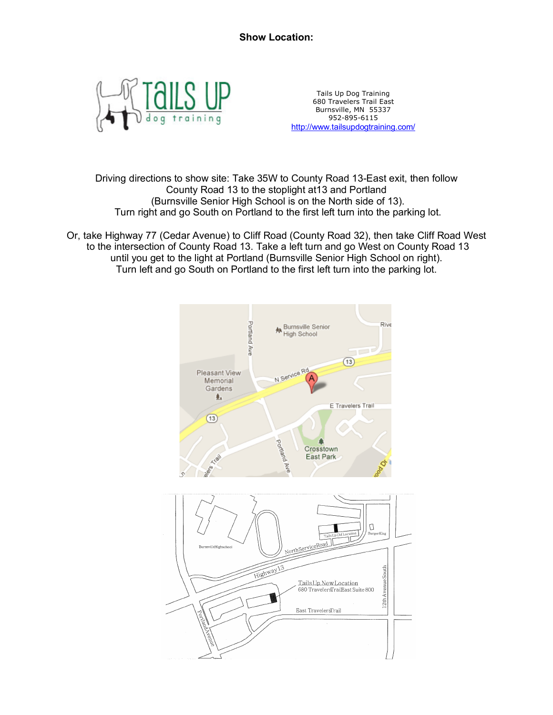

Tails Up Dog Training 680 Travelers Trail East Burnsville, MN 55337 952-895-6115 http://www.tailsupdogtraining.com/

Driving directions to show site: Take 35W to County Road 13-East exit, then follow County Road 13 to the stoplight at13 and Portland (Burnsville Senior High School is on the North side of 13). Turn right and go South on Portland to the first left turn into the parking lot.

Or, take Highway 77 (Cedar Avenue) to Cliff Road (County Road 32), then take Cliff Road West to the intersection of County Road 13. Take a left turn and go West on County Road 13 until you get to the light at Portland (Burnsville Senior High School on right). Turn left and go South on Portland to the first left turn into the parking lot.